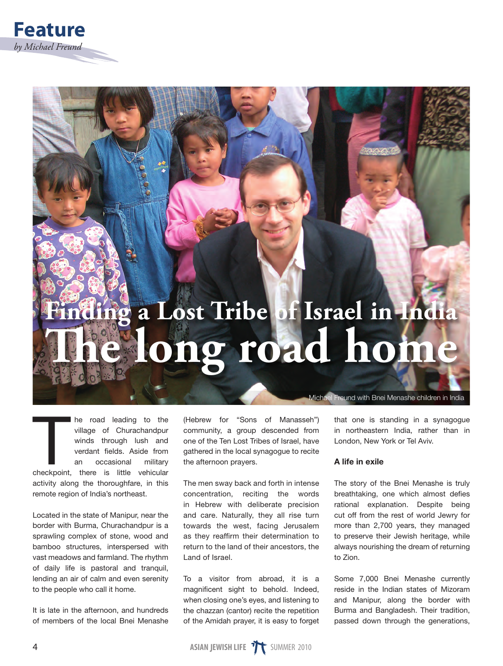# **Finding a Lost Tribe of Israel in India** ong road hom

The road leading to the village of Churachandpur<br>winds through lush and<br>verdant fields. Aside from<br>an occasional military<br>checkpoint, there is little vehicular he road leading to the village of Churachandpur winds through lush and verdant fields. Aside from an occasional military activity along the thoroughfare, in this remote region of India's northeast.

Located in the state of Manipur, near the border with Burma, Churachandpur is a sprawling complex of stone, wood and bamboo structures, interspersed with vast meadows and farmland. The rhythm of daily life is pastoral and tranquil, lending an air of calm and even serenity to the people who call it home.

It is late in the afternoon, and hundreds of members of the local Bnei Menashe

(Hebrew for "Sons of Manasseh") community, a group descended from one of the Ten Lost Tribes of Israel, have gathered in the local synagogue to recite the afternoon prayers.

The men sway back and forth in intense concentration, reciting the words in Hebrew with deliberate precision and care. Naturally, they all rise turn towards the west, facing Jerusalem as they reaffirm their determination to return to the land of their ancestors, the Land of Israel.

To a visitor from abroad, it is a magnificent sight to behold. Indeed, when closing one's eyes, and listening to the chazzan (cantor) recite the repetition of the Amidah prayer, it is easy to forget

Michael Freund with Bnei Menashe children in India

that one is standing in a synagogue in northeastern India, rather than in London, New York or Tel Aviv.

### A life in exile

The story of the Bnei Menashe is truly breathtaking, one which almost defies rational explanation. Despite being cut off from the rest of world Jewry for more than 2,700 years, they managed to preserve their Jewish heritage, while always nourishing the dream of returning to Zion.

Some 7,000 Bnei Menashe currently reside in the Indian states of Mizoram and Manipur, along the border with Burma and Bangladesh. Their tradition, passed down through the generations,

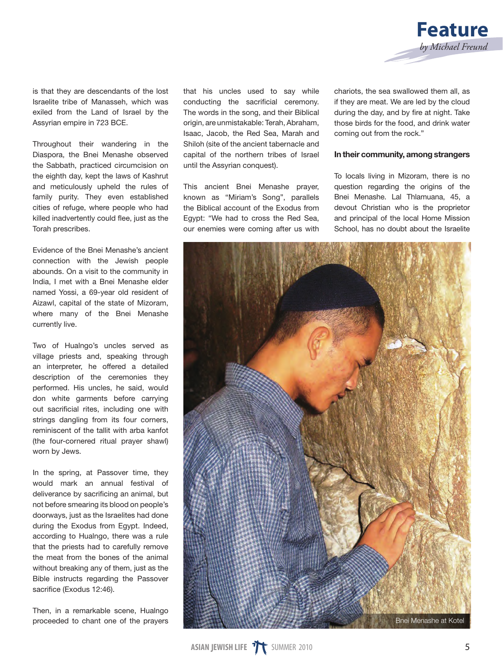

is that they are descendants of the lost Israelite tribe of Manasseh, which was exiled from the Land of Israel by the Assyrian empire in 723 BCE.

Throughout their wandering in the Diaspora, the Bnei Menashe observed the Sabbath, practiced circumcision on the eighth day, kept the laws of Kashrut and meticulously upheld the rules of family purity. They even established cities of refuge, where people who had killed inadvertently could flee, just as the Torah prescribes.

Evidence of the Bnei Menashe's ancient connection with the Jewish people abounds. On a visit to the community in India, I met with a Bnei Menashe elder named Yossi, a 69-year old resident of Aizawl, capital of the state of Mizoram, where many of the Bnei Menashe currently live.

Two of Hualngo's uncles served as village priests and, speaking through an interpreter, he offered a detailed description of the ceremonies they performed. His uncles, he said, would don white garments before carrying out sacrificial rites, including one with strings dangling from its four corners. reminiscent of the tallit with arba kanfot (the four-cornered ritual prayer shawl) worn by Jews.

In the spring, at Passover time, they would mark an annual festival of deliverance by sacrificing an animal, but not before smearing its blood on people's doorways, just as the Israelites had done during the Exodus from Egypt. Indeed, according to Hualngo, there was a rule that the priests had to carefully remove the meat from the bones of the animal without breaking any of them, just as the Bible instructs regarding the Passover sacrifice (Exodus 12:46).

Then, in a remarkable scene, Hualngo proceeded to chant one of the prayers that his uncles used to say while conducting the sacrificial ceremony. The words in the song, and their Biblical origin, are unmistakable: Terah, Abraham, Isaac, Jacob, the Red Sea, Marah and Shiloh (site of the ancient tabernacle and capital of the northern tribes of Israel until the Assyrian conquest).

This ancient Bnei Menashe prayer, known as "Miriam's Song", parallels the Biblical account of the Exodus from Egypt: "We had to cross the Red Sea, our enemies were coming after us with

chariots, the sea swallowed them all, as if they are meat. We are led by the cloud during the day, and by fire at night. Take those birds for the food, and drink water coming out from the rock."

#### In their community, among strangers

To locals living in Mizoram, there is no question regarding the origins of the Bnei Menashe. Lal Thlamuana, 45, a devout Christian who is the proprietor and principal of the local Home Mission School, has no doubt about the Israelite

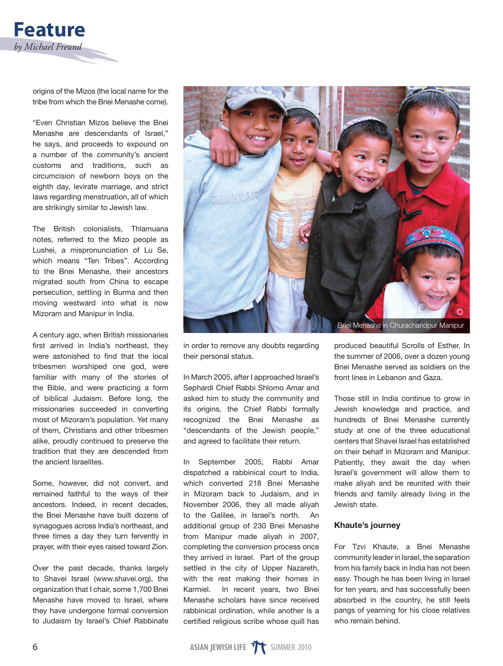![](_page_2_Picture_0.jpeg)

origins of the Mizos (the local name for the tribe from which the Bnei Menashe come).

"Even Christian Mizos believe the Bnei Menashe are descendants of Israel," he says, and proceeds to expound on a number of the community's ancient customs and traditions, such as circumcision of newborn boys on the eighth day, levirate marriage, and strict laws regarding menstruation, all of which are strikingly similar to Jewish law.

The British colonialists, Thlamuana notes, referred to the Mizo people as Lushei, a mispronunciation of Lu Se, which means "Ten Tribes". According to the Bnei Menashe, their ancestors migrated south from China to escape persecution, settling in Burma and then moving westward into what is now Mizoram and Manipur in India.

A century ago, when British missionaries first arrived in India's northeast, they were astonished to find that the local tribesmen worshiped one god, were familiar with many of the stories of the Bible, and were practicing a form of biblical Judaism. Before long, the missionaries succeeded in converting most of Mizoram's population. Yet many of them, Christians and other tribesmen alike, proudly continued to preserve the tradition that they are descended from the ancient Israelites.

Some, however, did not convert, and remained faithful to the ways of their ancestors. Indeed, in recent decades, the Bnei Menashe have built dozens of synagogues across India's northeast, and three times a day they turn fervently in prayer, with their eyes raised toward Zion.

Over the past decade, thanks largely to Shavei Israel (www.shavei.org), the organization that I chair, some 1,700 Bnei Menashe have moved to Israel, where they have undergone formal conversion to Judaism by Israel's Chief Rabbinate

![](_page_2_Picture_7.jpeg)

in order to remove any doubts regarding their personal status.

In March 2005, after I approached Israel's Sephardi Chief Rabbi Shlomo Amar and asked him to study the community and its origins, the Chief Rabbi formally recognized the Bnei Menashe as "descendants of the Jewish people," and agreed to facilitate their return.

In September 2005, Rabbi Amar dispatched a rabbinical court to India, which converted 218 Bnei Menashe in Mizoram back to Judaism, and in November 2006, they all made aliyah to the Galilee, in Israel's north. An additional group of 230 Bnei Menashe from Manipur made aliyah in 2007, completing the conversion process once they arrived in Israel. Part of the group settled in the city of Upper Nazareth, with the rest making their homes in Karmiel. In recent years, two Bnei Menashe scholars have since received rabbinical ordination, while another is a certified religious scribe whose quill has

produced beautiful Scrolls of Esther. In the summer of 2006, over a dozen young Bnei Menashe served as soldiers on the front lines in Lebanon and Gaza.

Those still in India continue to grow in Jewish knowledge and practice, and hundreds of Bnei Menashe currently study at one of the three educational centers that Shavei Israel has established on their behalf in Mizoram and Manipur. Patiently, they await the day when Israel's government will allow them to make aliyah and be reunited with their friends and family already living in the Jewish state.

## Khaute's journey

For Tzvi Khaute, a Bnei Menashe community leader in Israel, the separation from his family back in India has not been easy. Though he has been living in Israel for ten years, and has successfully been absorbed in the country, he still feels pangs of yearning for his close relatives who remain behind.

![](_page_2_Picture_15.jpeg)